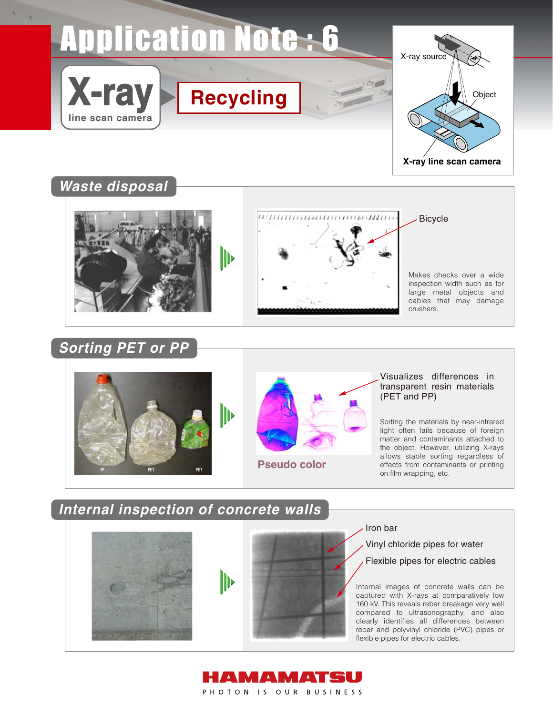# **Application Note: 6**



## **Waste disposal**

**X-ray**

**line scan camera**





Makes checks over a wide inspection width such as for large metal objects and cables that may damage crushers.

Bicycle

## **Sorting PET or PP**



#### Visualizes differences in transparent resin materials (PET and PP)

Sorting the materials by near-infrared light often fails because of foreign matter and contaminants attached to the object. However, utilizing X-rays allows stable sorting regardless of effects from contaminants or printing on film wrapping, etc.

## **Internal inspection of concrete walls**





#### Iron bar

Vinyl chloride pipes for water

Flexible pipes for electric cables

Internal images of concrete walls can be captured with X-rays at comparatively low 160 kV. This reveals rebar breakage very well compared to ultrasonography, and also clearly identifies all differences between rebar and polyvinyl chloride (PVC) pipes or flexible pipes for electric cables.